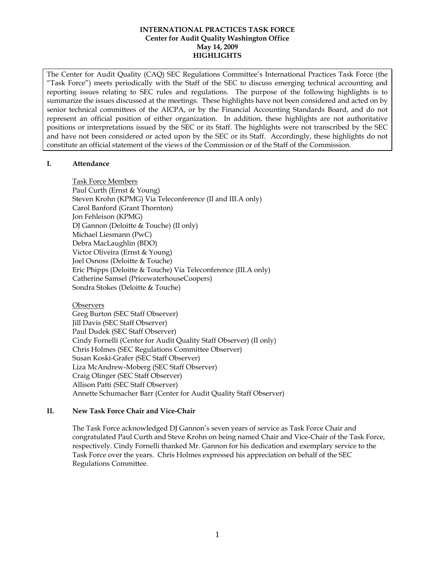The Center for Audit Quality (CAQ) SEC Regulations Committee's International Practices Task Force (the "Task Force") meets periodically with the Staff of the SEC to discuss emerging technical accounting and reporting issues relating to SEC rules and regulations. The purpose of the following highlights is to summarize the issues discussed at the meetings. These highlights have not been considered and acted on by senior technical committees of the AICPA, or by the Financial Accounting Standards Board, and do not represent an official position of either organization. In addition, these highlights are not authoritative positions or interpretations issued by the SEC or its Staff. The highlights were not transcribed by the SEC and have not been considered or acted upon by the SEC or its Staff. Accordingly, these highlights do not constitute an official statement of the views of the Commission or of the Staff of the Commission.

# **I. Attendance**

Task Force Members Paul Curth (Ernst & Young) Steven Krohn (KPMG) Via Teleconference (II and III.A only) Carol Banford (Grant Thornton) Jon Fehleison (KPMG) DJ Gannon (Deloitte & Touche) (II only) Michael Liesmann (PwC) Debra MacLaughlin (BDO) Victor Oliveira (Ernst & Young) Joel Osnoss (Deloitte & Touche) Eric Phipps (Deloitte & Touche) Via Teleconference (III.A only) Catherine Samsel (PricewaterhouseCoopers) Sondra Stokes (Deloitte & Touche)

# **Observers**

Greg Burton (SEC Staff Observer) Jill Davis (SEC Staff Observer) Paul Dudek (SEC Staff Observer) Cindy Fornelli (Center for Audit Quality Staff Observer) (II only) Chris Holmes (SEC Regulations Committee Observer) Susan Koski-Grafer (SEC Staff Observer) Liza McAndrew-Moberg (SEC Staff Observer) Craig Olinger (SEC Staff Observer) Allison Patti (SEC Staff Observer) Annette Schumacher Barr (Center for Audit Quality Staff Observer)

# **II. New Task Force Chair and Vice-Chair**

The Task Force acknowledged DJ Gannon's seven years of service as Task Force Chair and congratulated Paul Curth and Steve Krohn on being named Chair and Vice-Chair of the Task Force, respectively. Cindy Fornelli thanked Mr. Gannon for his dedication and exemplary service to the Task Force over the years. Chris Holmes expressed his appreciation on behalf of the SEC Regulations Committee.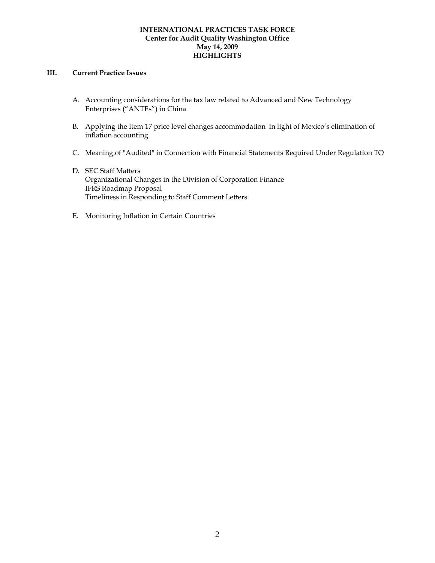### **III. Current Practice Issues**

- A. Accounting considerations for the tax law related to Advanced and New Technology Enterprises ("ANTEs") in China
- B. Applying the Item 17 price level changes accommodationin light of Mexico's elimination of inflation accounting
- C. Meaning of "Audited" in Connection with Financial Statements Required Under Regulation TO
- D. SEC Staff Matters Organizational Changes in the Division of Corporation Finance IFRS Roadmap Proposal Timeliness in Responding to Staff Comment Letters
- E. Monitoring Inflation in Certain Countries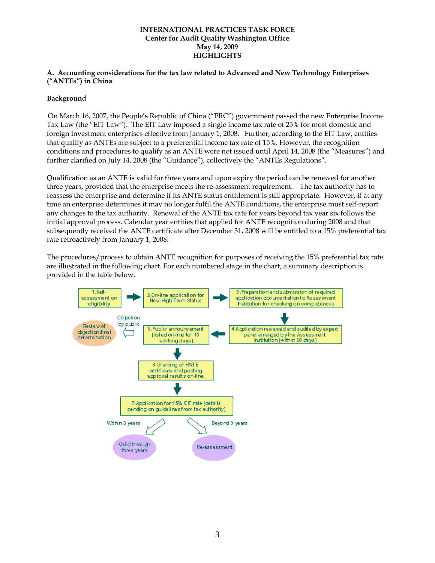### **A. Accounting considerations for the tax law related to Advanced and New Technology Enterprises ("ANTEs") in China**

# **Background**

On March 16, 2007, the People's Republic of China ("PRC") government passed the new Enterprise Income Tax Law (the "EIT Law"). The EIT Law imposed a single income tax rate of 25% for most domestic and foreign investment enterprises effective from January 1, 2008. Further, according to the EIT Law, entities that qualify as ANTEs are subject to a preferential income tax rate of 15%. However, the recognition conditions and procedures to qualify as an ANTE were not issued until April 14, 2008 (the "Measures") and further clarified on July 14, 2008 (the "Guidance"), collectively the "ANTEs Regulations".

Qualification as an ANTE is valid for three years and upon expiry the period can be renewed for another three years, provided that the enterprise meets the re-assessment requirement. The tax authority has to reassess the enterprise and determine if its ANTE status entitlement is still appropriate. However, if at any time an enterprise determines it may no longer fulfil the ANTE conditions, the enterprise must self-report any changes to the tax authority. Renewal of the ANTE tax rate for years beyond tax year six follows the initial approval process. Calendar year entities that applied for ANTE recognition during 2008 and that subsequently received the ANTE certificate after December 31, 2008 will be entitled to a 15% preferential tax rate retroactively from January 1, 2008.

The procedures/process to obtain ANTE recognition for purposes of receiving the 15% preferential tax rate are illustrated in the following chart. For each numbered stage in the chart, a summary description is provided in the table below.

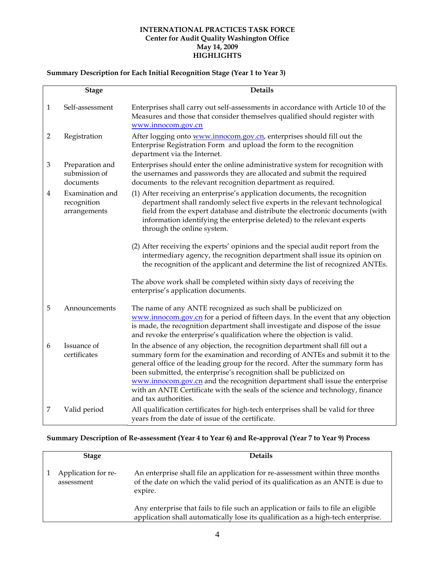# **Summary Description for Each Initial Recognition Stage (Year 1 to Year 3)**

|                | <b>Stage</b>                                   | <b>Details</b>                                                                                                                                                                                                                                                                                                                                                                                                                                                                                                  |
|----------------|------------------------------------------------|-----------------------------------------------------------------------------------------------------------------------------------------------------------------------------------------------------------------------------------------------------------------------------------------------------------------------------------------------------------------------------------------------------------------------------------------------------------------------------------------------------------------|
| 1              | Self-assessment                                | Enterprises shall carry out self-assessments in accordance with Article 10 of the<br>Measures and those that consider themselves qualified should register with<br>www.innocom.gov.cn                                                                                                                                                                                                                                                                                                                           |
| $\overline{2}$ | Registration                                   | After logging onto www.innocom.gov.cn, enterprises should fill out the<br>Enterprise Registration Form and upload the form to the recognition<br>department via the Internet.                                                                                                                                                                                                                                                                                                                                   |
| 3              | Preparation and<br>submission of<br>documents  | Enterprises should enter the online administrative system for recognition with<br>the usernames and passwords they are allocated and submit the required<br>documents to the relevant recognition department as required.                                                                                                                                                                                                                                                                                       |
| 4              | Examination and<br>recognition<br>arrangements | (1) After receiving an enterprise's application documents, the recognition<br>department shall randomly select five experts in the relevant technological<br>field from the expert database and distribute the electronic documents (with<br>information identifying the enterprise deleted) to the relevant experts<br>through the online system.                                                                                                                                                              |
|                |                                                | (2) After receiving the experts' opinions and the special audit report from the<br>intermediary agency, the recognition department shall issue its opinion on<br>the recognition of the applicant and determine the list of recognized ANTEs.                                                                                                                                                                                                                                                                   |
|                |                                                | The above work shall be completed within sixty days of receiving the<br>enterprise's application documents.                                                                                                                                                                                                                                                                                                                                                                                                     |
| 5              | Announcements                                  | The name of any ANTE recognized as such shall be publicized on<br>www.innocom.gov.cn for a period of fifteen days. In the event that any objection<br>is made, the recognition department shall investigate and dispose of the issue<br>and revoke the enterprise's qualification where the objection is valid.                                                                                                                                                                                                 |
| 6              | Issuance of<br>certificates                    | In the absence of any objection, the recognition department shall fill out a<br>summary form for the examination and recording of ANTEs and submit it to the<br>general office of the leading group for the record. After the summary form has<br>been submitted, the enterprise's recognition shall be publicized on<br>www.innocom.gov.cn and the recognition department shall issue the enterprise<br>with an ANTE Certificate with the seals of the science and technology, finance<br>and tax authorities. |
| 7              | Valid period                                   | All qualification certificates for high-tech enterprises shall be valid for three<br>years from the date of issue of the certificate.                                                                                                                                                                                                                                                                                                                                                                           |

# **Summary Description of Re-assessment (Year 4 to Year 6) and Re-approval (Year 7 to Year 9) Process**

| <b>Stage</b>                      | <b>Details</b>                                                                                                                                                              |
|-----------------------------------|-----------------------------------------------------------------------------------------------------------------------------------------------------------------------------|
| Application for re-<br>assessment | An enterprise shall file an application for re-assessment within three months<br>of the date on which the valid period of its qualification as an ANTE is due to<br>expire. |
|                                   | Any enterprise that fails to file such an application or fails to file an eligible<br>application shall automatically lose its qualification as a high-tech enterprise.     |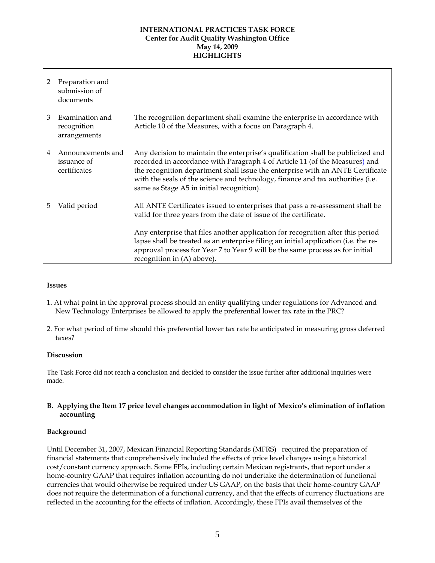| 2  | Preparation and<br>submission of<br>documents    |                                                                                                                                                                                                                                                                                                                                                                                  |
|----|--------------------------------------------------|----------------------------------------------------------------------------------------------------------------------------------------------------------------------------------------------------------------------------------------------------------------------------------------------------------------------------------------------------------------------------------|
| 3  | Examination and<br>recognition<br>arrangements   | The recognition department shall examine the enterprise in accordance with<br>Article 10 of the Measures, with a focus on Paragraph 4.                                                                                                                                                                                                                                           |
| 4  | Announcements and<br>issuance of<br>certificates | Any decision to maintain the enterprise's qualification shall be publicized and<br>recorded in accordance with Paragraph 4 of Article 11 (of the Measures) and<br>the recognition department shall issue the enterprise with an ANTE Certificate<br>with the seals of the science and technology, finance and tax authorities (i.e.<br>same as Stage A5 in initial recognition). |
| 5. | Valid period                                     | All ANTE Certificates issued to enterprises that pass a re-assessment shall be<br>valid for three years from the date of issue of the certificate.                                                                                                                                                                                                                               |
|    |                                                  | Any enterprise that files another application for recognition after this period<br>lapse shall be treated as an enterprise filing an initial application (i.e. the re-<br>approval process for Year 7 to Year 9 will be the same process as for initial<br>recognition in (A) above).                                                                                            |

#### **Issues**

- 1. At what point in the approval process should an entity qualifying under regulations for Advanced and New Technology Enterprises be allowed to apply the preferential lower tax rate in the PRC?
- 2. For what period of time should this preferential lower tax rate be anticipated in measuring gross deferred taxes?

#### **Discussion**

The Task Force did not reach a conclusion and decided to consider the issue further after additional inquiries were made.

# **B. Applying the Item 17 price level changes accommodation in light of Mexico's elimination of inflation accounting**

# **Background**

Until December 31, 2007, Mexican Financial Reporting Standards (MFRS) required the preparation of financial statements that comprehensively included the effects of price level changes using a historical cost/constant currency approach. Some FPIs, including certain Mexican registrants, that report under a home-country GAAP that requires inflation accounting do not undertake the determination of functional currencies that would otherwise be required under US GAAP, on the basis that their home-country GAAP does not require the determination of a functional currency, and that the effects of currency fluctuations are reflected in the accounting for the effects of inflation. Accordingly, these FPIs avail themselves of the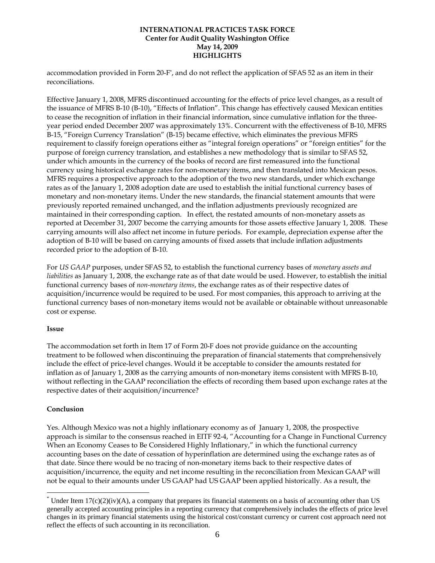accommodation provided in Form 20-F\* , and do not reflect the application of SFAS 52 as an item in their reconciliations.

Effective January 1, 2008, MFRS discontinued accounting for the effects of price level changes, as a result of the issuance of MFRS B-10 (B-10), "Effects of Inflation". This change has effectively caused Mexican entities to cease the recognition of inflation in their financial information, since cumulative inflation for the threeyear period ended December 2007 was approximately 13%. Concurrent with the effectiveness of B-10, MFRS B-15, "Foreign Currency Translation" (B-15) became effective, which eliminates the previous MFRS requirement to classify foreign operations either as "integral foreign operations" or "foreign entities" for the purpose of foreign currency translation, and establishes a new methodology that is similar to SFAS 52, under which amounts in the currency of the books of record are first remeasured into the functional currency using historical exchange rates for non-monetary items, and then translated into Mexican pesos. MFRS requires a prospective approach to the adoption of the two new standards, under which exchange rates as of the January 1, 2008 adoption date are used to establish the initial functional currency bases of monetary and non-monetary items. Under the new standards, the financial statement amounts that were previously reported remained unchanged, and the inflation adjustments previously recognized are maintained in their corresponding caption. In effect, the restated amounts of non-monetary assets as reported at December 31, 2007 become the carrying amounts for those assets effective January 1, 2008. These carrying amounts will also affect net income in future periods. For example, depreciation expense after the adoption of B-10 will be based on carrying amounts of fixed assets that include inflation adjustments recorded prior to the adoption of B-10.

For *US GAAP* purposes, under SFAS 52, to establish the functional currency bases of *monetary assets and liabilities* as January 1, 2008, the exchange rate as of that date would be used. However, to establish the initial functional currency bases of *non-monetary items*, the exchange rates as of their respective dates of acquisition/incurrence would be required to be used. For most companies, this approach to arriving at the functional currency bases of non-monetary items would not be available or obtainable without unreasonable cost or expense.

# **Issue**

The accommodation set forth in Item 17 of Form 20-F does not provide guidance on the accounting treatment to be followed when discontinuing the preparation of financial statements that comprehensively include the effect of price-level changes. Would it be acceptable to consider the amounts restated for inflation as of January 1, 2008 as the carrying amounts of non-monetary items consistent with MFRS B-10, without reflecting in the GAAP reconciliation the effects of recording them based upon exchange rates at the respective dates of their acquisition/incurrence?

# **Conclusion**

1

Yes. Although Mexico was not a highly inflationary economy as of January 1, 2008, the prospective approach is similar to the consensus reached in EITF 92-4, "Accounting for a Change in Functional Currency When an Economy Ceases to Be Considered Highly Inflationary," in which the functional currency accounting bases on the date of cessation of hyperinflation are determined using the exchange rates as of that date. Since there would be no tracing of non-monetary items back to their respective dates of acquisition/incurrence, the equity and net income resulting in the reconciliation from Mexican GAAP will not be equal to their amounts under US GAAP had US GAAP been applied historically. As a result, the

 $*$  Under Item 17(c)(2)(iv)(A), a company that prepares its financial statements on a basis of accounting other than US generally accepted accounting principles in a reporting currency that comprehensively includes the effects of price level changes in its primary financial statements using the historical cost/constant currency or current cost approach need not reflect the effects of such accounting in its reconciliation.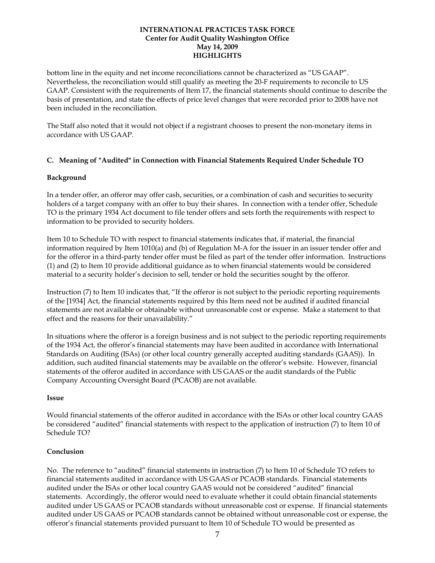bottom line in the equity and net income reconciliations cannot be characterized as "US GAAP". Nevertheless, the reconciliation would still qualify as meeting the 20-F requirements to reconcile to US GAAP. Consistent with the requirements of Item 17, the financial statements should continue to describe the basis of presentation, and state the effects of price level changes that were recorded prior to 2008 have not been included in the reconciliation.

The Staff also noted that it would not object if a registrant chooses to present the non-monetary items in accordance with US GAAP.

### **C. Meaning of "Audited" in Connection with Financial Statements Required Under Schedule TO**

### **Background**

In a tender offer, an offeror may offer cash, securities, or a combination of cash and securities to security holders of a target company with an offer to buy their shares. In connection with a tender offer, Schedule TO is the primary 1934 Act document to file tender offers and sets forth the requirements with respect to information to be provided to security holders.

Item 10 to Schedule TO with respect to financial statements indicates that, if material, the financial information required by Item 1010(a) and (b) of Regulation M-A for the issuer in an issuer tender offer and for the offeror in a third-party tender offer must be filed as part of the tender offer information. Instructions (1) and (2) to Item 10 provide additional guidance as to when financial statements would be considered material to a security holder's decision to sell, tender or hold the securities sought by the offeror.

Instruction (7) to Item 10 indicates that, "If the offeror is not subject to the periodic reporting requirements of the [1934] Act, the financial statements required by this Item need not be audited if audited financial statements are not available or obtainable without unreasonable cost or expense. Make a statement to that effect and the reasons for their unavailability."

In situations where the offeror is a foreign business and is not subject to the periodic reporting requirements of the 1934 Act, the offeror's financial statements may have been audited in accordance with International Standards on Auditing (ISAs) (or other local country generally accepted auditing standards (GAAS)). In addition, such audited financial statements may be available on the offeror's website. However, financial statements of the offeror audited in accordance with US GAAS or the audit standards of the Public Company Accounting Oversight Board (PCAOB) are not available.

#### **Issue**

Would financial statements of the offeror audited in accordance with the ISAs or other local country GAAS be considered "audited" financial statements with respect to the application of instruction (7) to Item 10 of Schedule TO?

# **Conclusion**

No. The reference to "audited" financial statements in instruction (7) to Item 10 of Schedule TO refers to financial statements audited in accordance with US GAAS or PCAOB standards. Financial statements audited under the ISAs or other local country GAAS would not be considered "audited" financial statements. Accordingly, the offeror would need to evaluate whether it could obtain financial statements audited under US GAAS or PCAOB standards without unreasonable cost or expense. If financial statements audited under US GAAS or PCAOB standards cannot be obtained without unreasonable cost or expense, the offeror's financial statements provided pursuant to Item 10 of Schedule TO would be presented as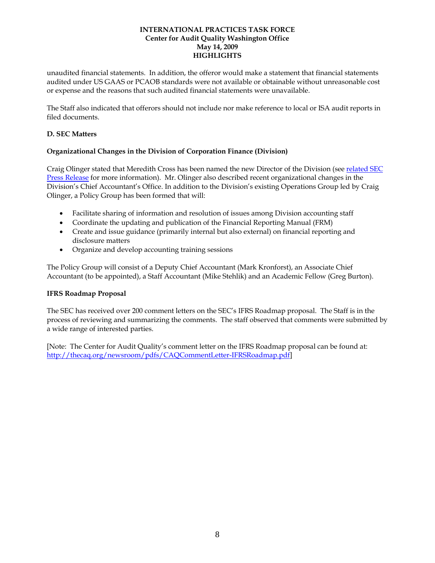unaudited financial statements. In addition, the offeror would make a statement that financial statements audited under US GAAS or PCAOB standards were not available or obtainable without unreasonable cost or expense and the reasons that such audited financial statements were unavailable.

The Staff also indicated that offerors should not include nor make reference to local or ISA audit reports in filed documents.

### **D. SEC Matters**

# **Organizational Changes in the Division of Corporation Finance (Division)**

Craig Olinger stated that Meredith Cross has been named the new Director of the Division (see related SEC Press Release for more information). Mr. Olinger also described recent organizational changes in the Division's Chief Accountant's Office. In addition to the Division's existing Operations Group led by Craig Olinger, a Policy Group has been formed that will:

- Facilitate sharing of information and resolution of issues among Division accounting staff
- Coordinate the updating and publication of the Financial Reporting Manual (FRM)
- Create and issue guidance (primarily internal but also external) on financial reporting and disclosure matters
- Organize and develop accounting training sessions

The Policy Group will consist of a Deputy Chief Accountant (Mark Kronforst), an Associate Chief Accountant (to be appointed), a Staff Accountant (Mike Stehlik) and an Academic Fellow (Greg Burton).

#### **IFRS Roadmap Proposal**

The SEC has received over 200 comment letters on the SEC's IFRS Roadmap proposal. The Staff is in the process of reviewing and summarizing the comments. The staff observed that comments were submitted by a wide range of interested parties.

[Note: The Center for Audit Quality's comment letter on the IFRS Roadmap proposal can be found at: http://thecaq.org/newsroom/pdfs/CAQCommentLetter-IFRSRoadmap.pdf]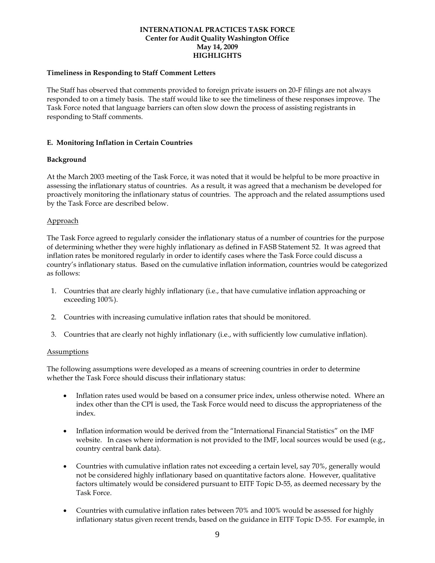### **Timeliness in Responding to Staff Comment Letters**

The Staff has observed that comments provided to foreign private issuers on 20-F filings are not always responded to on a timely basis. The staff would like to see the timeliness of these responses improve. The Task Force noted that language barriers can often slow down the process of assisting registrants in responding to Staff comments.

# **E. Monitoring Inflation in Certain Countries**

### **Background**

At the March 2003 meeting of the Task Force, it was noted that it would be helpful to be more proactive in assessing the inflationary status of countries. As a result, it was agreed that a mechanism be developed for proactively monitoring the inflationary status of countries. The approach and the related assumptions used by the Task Force are described below.

### Approach

The Task Force agreed to regularly consider the inflationary status of a number of countries for the purpose of determining whether they were highly inflationary as defined in FASB Statement 52. It was agreed that inflation rates be monitored regularly in order to identify cases where the Task Force could discuss a country's inflationary status. Based on the cumulative inflation information, countries would be categorized as follows:

- 1. Countries that are clearly highly inflationary (i.e., that have cumulative inflation approaching or exceeding 100%).
- 2. Countries with increasing cumulative inflation rates that should be monitored.
- 3. Countries that are clearly not highly inflationary (i.e., with sufficiently low cumulative inflation).

#### Assumptions

The following assumptions were developed as a means of screening countries in order to determine whether the Task Force should discuss their inflationary status:

- Inflation rates used would be based on a consumer price index, unless otherwise noted. Where an index other than the CPI is used, the Task Force would need to discuss the appropriateness of the index.
- Inflation information would be derived from the "International Financial Statistics" on the IMF website. In cases where information is not provided to the IMF, local sources would be used (e.g., country central bank data).
- Countries with cumulative inflation rates not exceeding a certain level, say 70%, generally would not be considered highly inflationary based on quantitative factors alone. However, qualitative factors ultimately would be considered pursuant to EITF Topic D-55, as deemed necessary by the Task Force.
- Countries with cumulative inflation rates between 70% and 100% would be assessed for highly inflationary status given recent trends, based on the guidance in EITF Topic D-55. For example, in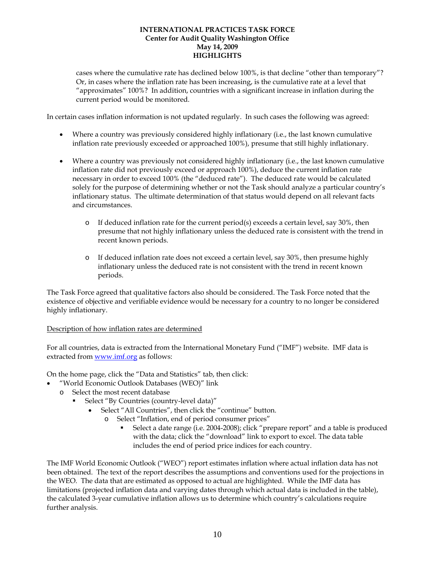cases where the cumulative rate has declined below 100%, is that decline "other than temporary"? Or, in cases where the inflation rate has been increasing, is the cumulative rate at a level that "approximates" 100%? In addition, countries with a significant increase in inflation during the current period would be monitored.

In certain cases inflation information is not updated regularly. In such cases the following was agreed:

- Where a country was previously considered highly inflationary (i.e., the last known cumulative inflation rate previously exceeded or approached 100%), presume that still highly inflationary.
- Where a country was previously not considered highly inflationary (i.e., the last known cumulative inflation rate did not previously exceed or approach 100%), deduce the current inflation rate necessary in order to exceed 100% (the "deduced rate"). The deduced rate would be calculated solely for the purpose of determining whether or not the Task should analyze a particular country's inflationary status. The ultimate determination of that status would depend on all relevant facts and circumstances.
	- $\circ$  If deduced inflation rate for the current period(s) exceeds a certain level, say 30%, then presume that not highly inflationary unless the deduced rate is consistent with the trend in recent known periods.
	- o If deduced inflation rate does not exceed a certain level, say 30%, then presume highly inflationary unless the deduced rate is not consistent with the trend in recent known periods.

The Task Force agreed that qualitative factors also should be considered. The Task Force noted that the existence of objective and verifiable evidence would be necessary for a country to no longer be considered highly inflationary.

# Description of how inflation rates are determined

For all countries, data is extracted from the International Monetary Fund ("IMF") website. IMF data is extracted from www.imf.org as follows:

On the home page, click the "Data and Statistics" tab, then click:

- "World Economic Outlook Databases (WEO)" link
- o Select the most recent database
	- Select "By Countries (country-level data)"
		- Select "All Countries", then click the "continue" button.
			- o Select "Inflation, end of period consumer prices"
				- Select a date range (i.e. 2004-2008); click "prepare report" and a table is produced with the data; click the "download" link to export to excel. The data table includes the end of period price indices for each country.

The IMF World Economic Outlook ("WEO") report estimates inflation where actual inflation data has not been obtained. The text of the report describes the assumptions and conventions used for the projections in the WEO. The data that are estimated as opposed to actual are highlighted. While the IMF data has limitations (projected inflation data and varying dates through which actual data is included in the table), the calculated 3-year cumulative inflation allows us to determine which country's calculations require further analysis.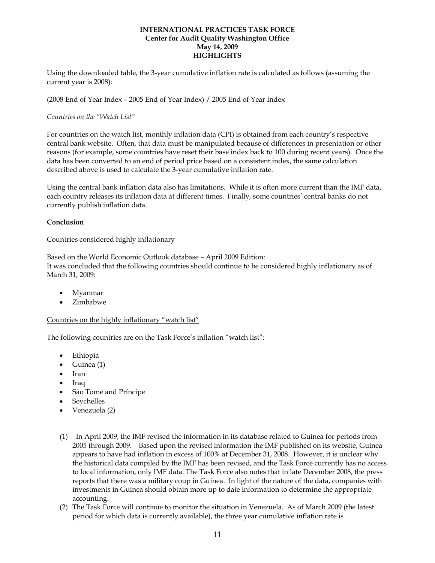Using the downloaded table, the 3-year cumulative inflation rate is calculated as follows (assuming the current year is 2008):

(2008 End of Year Index – 2005 End of Year Index) / 2005 End of Year Index

### *Countries on the "Watch List"*

For countries on the watch list, monthly inflation data (CPI) is obtained from each country's respective central bank website. Often, that data must be manipulated because of differences in presentation or other reasons (for example, some countries have reset their base index back to 100 during recent years). Once the data has been converted to an end of period price based on a consistent index, the same calculation described above is used to calculate the 3-year cumulative inflation rate.

Using the central bank inflation data also has limitations. While it is often more current than the IMF data, each country releases its inflation data at different times. Finally, some countries' central banks do not currently publish inflation data.

### **Conclusion**

### Countries considered highly inflationary

Based on the World Economic Outlook database – April 2009 Edition: It was concluded that the following countries should continue to be considered highly inflationary as of March 31, 2009:

- Myanmar
- Zimbabwe

# Countries on the highly inflationary "watch list"

The following countries are on the Task Force's inflation "watch list":

- Ethiopia
- Guinea (1)
- Iran
- Iraq
- São Tomé and Príncipe
- **Seychelles**
- Venezuela (2)
- (1) In April 2009, the IMF revised the information in its database related to Guinea for periods from 2005 through 2009. Based upon the revised information the IMF published on its website, Guinea appears to have had inflation in excess of 100% at December 31, 2008. However, it is unclear why the historical data compiled by the IMF has been revised, and the Task Force currently has no access to local information, only IMF data. The Task Force also notes that in late December 2008, the press reports that there was a military coup in Guinea. In light of the nature of the data, companies with investments in Guinea should obtain more up to date information to determine the appropriate accounting.
- (2) The Task Force will continue to monitor the situation in Venezuela. As of March 2009 (the latest period for which data is currently available), the three year cumulative inflation rate is